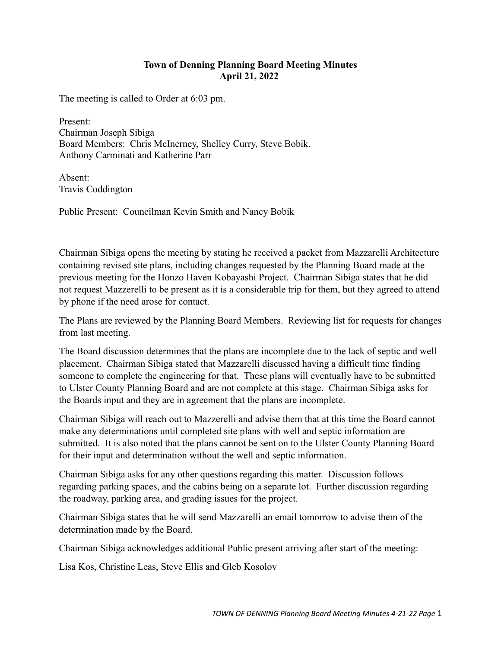## **Town of Denning Planning Board Meeting Minutes April 21, 2022**

The meeting is called to Order at 6:03 pm.

Present: Chairman Joseph Sibiga Board Members: Chris McInerney, Shelley Curry, Steve Bobik, Anthony Carminati and Katherine Parr

Absent: Travis Coddington

Public Present: Councilman Kevin Smith and Nancy Bobik

Chairman Sibiga opens the meeting by stating he received a packet from Mazzarelli Architecture containing revised site plans, including changes requested by the Planning Board made at the previous meeting for the Honzo Haven Kobayashi Project. Chairman Sibiga states that he did not request Mazzerelli to be present as it is a considerable trip for them, but they agreed to attend by phone if the need arose for contact.

The Plans are reviewed by the Planning Board Members. Reviewing list for requests for changes from last meeting.

The Board discussion determines that the plans are incomplete due to the lack of septic and well placement. Chairman Sibiga stated that Mazzarelli discussed having a difficult time finding someone to complete the engineering for that. These plans will eventually have to be submitted to Ulster County Planning Board and are not complete at this stage. Chairman Sibiga asks for the Boards input and they are in agreement that the plans are incomplete.

Chairman Sibiga will reach out to Mazzerelli and advise them that at this time the Board cannot make any determinations until completed site plans with well and septic information are submitted. It is also noted that the plans cannot be sent on to the Ulster County Planning Board for their input and determination without the well and septic information.

Chairman Sibiga asks for any other questions regarding this matter. Discussion follows regarding parking spaces, and the cabins being on a separate lot. Further discussion regarding the roadway, parking area, and grading issues for the project.

Chairman Sibiga states that he will send Mazzarelli an email tomorrow to advise them of the determination made by the Board.

Chairman Sibiga acknowledges additional Public present arriving after start of the meeting:

Lisa Kos, Christine Leas, Steve Ellis and Gleb Kosolov